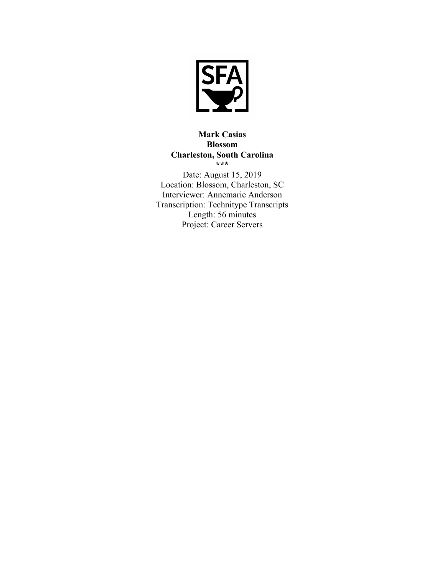

**Mark Casias Blossom Charleston, South Carolina \*\*\*** Date: August 15, 2019 Location: Blossom, Charleston, SC Interviewer: Annemarie Anderson Transcription: Technitype Transcripts Length: 56 minutes Project: Career Servers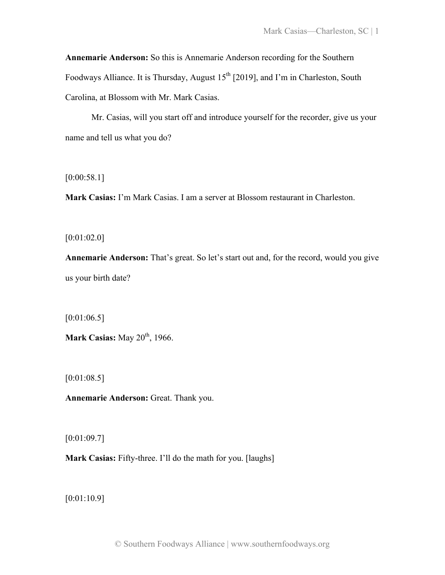**Annemarie Anderson:** So this is Annemarie Anderson recording for the Southern Foodways Alliance. It is Thursday, August  $15<sup>th</sup>$  [2019], and I'm in Charleston, South Carolina, at Blossom with Mr. Mark Casias.

Mr. Casias, will you start off and introduce yourself for the recorder, give us your name and tell us what you do?

[0:00:58.1]

**Mark Casias:** I'm Mark Casias. I am a server at Blossom restaurant in Charleston.

[0:01:02.0]

**Annemarie Anderson:** That's great. So let's start out and, for the record, would you give us your birth date?

[0:01:06.5]

**Mark Casias:** May 20<sup>th</sup>, 1966.

[0:01:08.5]

**Annemarie Anderson:** Great. Thank you.

[0:01:09.7]

**Mark Casias:** Fifty-three. I'll do the math for you. [laughs]

[0:01:10.9]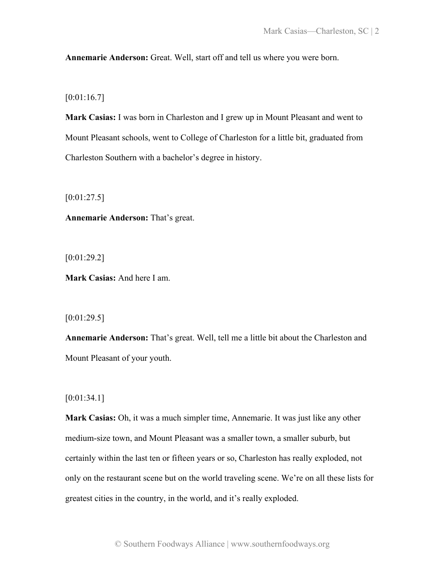**Annemarie Anderson:** Great. Well, start off and tell us where you were born.

 $[0:01:16.7]$ 

**Mark Casias:** I was born in Charleston and I grew up in Mount Pleasant and went to Mount Pleasant schools, went to College of Charleston for a little bit, graduated from Charleston Southern with a bachelor's degree in history.

 $[0:01:27.5]$ 

**Annemarie Anderson:** That's great.

[0:01:29.2]

**Mark Casias:** And here I am.

 $[0:01:29.5]$ 

**Annemarie Anderson:** That's great. Well, tell me a little bit about the Charleston and Mount Pleasant of your youth.

[0:01:34.1]

**Mark Casias:** Oh, it was a much simpler time, Annemarie. It was just like any other medium-size town, and Mount Pleasant was a smaller town, a smaller suburb, but certainly within the last ten or fifteen years or so, Charleston has really exploded, not only on the restaurant scene but on the world traveling scene. We're on all these lists for greatest cities in the country, in the world, and it's really exploded.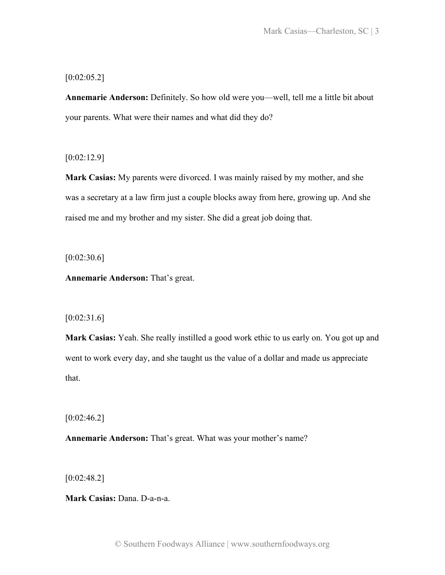# $[0:02:05.2]$

**Annemarie Anderson:** Definitely. So how old were you—well, tell me a little bit about your parents. What were their names and what did they do?

[0:02:12.9]

**Mark Casias:** My parents were divorced. I was mainly raised by my mother, and she was a secretary at a law firm just a couple blocks away from here, growing up. And she raised me and my brother and my sister. She did a great job doing that.

 $[0:02:30.6]$ 

**Annemarie Anderson:** That's great.

# $[0:02:31.6]$

**Mark Casias:** Yeah. She really instilled a good work ethic to us early on. You got up and went to work every day, and she taught us the value of a dollar and made us appreciate that.

 $[0:02:46.2]$ 

**Annemarie Anderson:** That's great. What was your mother's name?

[0:02:48.2]

**Mark Casias:** Dana. D-a-n-a.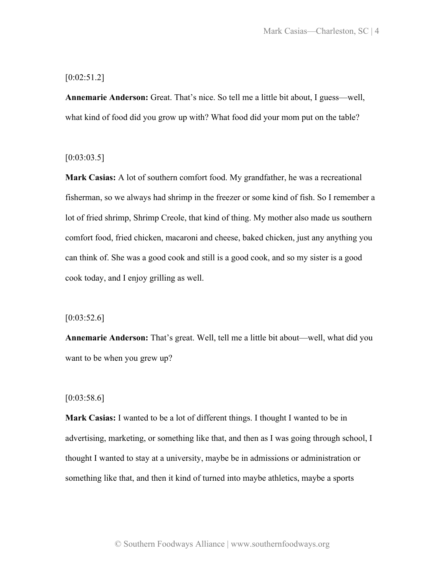# [0:02:51.2]

**Annemarie Anderson:** Great. That's nice. So tell me a little bit about, I guess—well, what kind of food did you grow up with? What food did your mom put on the table?

### $[0:03:03.5]$

**Mark Casias:** A lot of southern comfort food. My grandfather, he was a recreational fisherman, so we always had shrimp in the freezer or some kind of fish. So I remember a lot of fried shrimp, Shrimp Creole, that kind of thing. My mother also made us southern comfort food, fried chicken, macaroni and cheese, baked chicken, just any anything you can think of. She was a good cook and still is a good cook, and so my sister is a good cook today, and I enjoy grilling as well.

### $[0:03:52.6]$

**Annemarie Anderson:** That's great. Well, tell me a little bit about—well, what did you want to be when you grew up?

# $[0:03:58.6]$

**Mark Casias:** I wanted to be a lot of different things. I thought I wanted to be in advertising, marketing, or something like that, and then as I was going through school, I thought I wanted to stay at a university, maybe be in admissions or administration or something like that, and then it kind of turned into maybe athletics, maybe a sports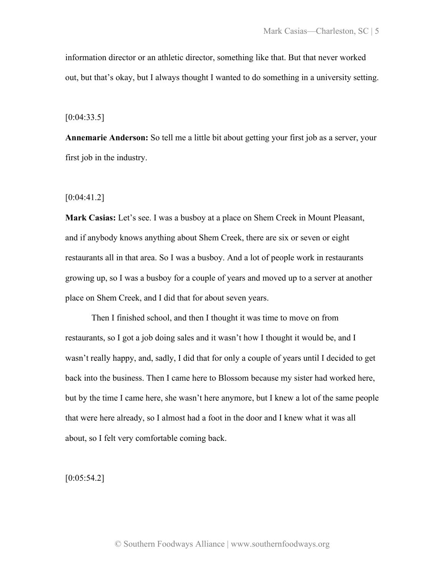information director or an athletic director, something like that. But that never worked out, but that's okay, but I always thought I wanted to do something in a university setting.

 $[0:04:33.5]$ 

**Annemarie Anderson:** So tell me a little bit about getting your first job as a server, your first job in the industry.

[0:04:41.2]

**Mark Casias:** Let's see. I was a busboy at a place on Shem Creek in Mount Pleasant, and if anybody knows anything about Shem Creek, there are six or seven or eight restaurants all in that area. So I was a busboy. And a lot of people work in restaurants growing up, so I was a busboy for a couple of years and moved up to a server at another place on Shem Creek, and I did that for about seven years.

Then I finished school, and then I thought it was time to move on from restaurants, so I got a job doing sales and it wasn't how I thought it would be, and I wasn't really happy, and, sadly, I did that for only a couple of years until I decided to get back into the business. Then I came here to Blossom because my sister had worked here, but by the time I came here, she wasn't here anymore, but I knew a lot of the same people that were here already, so I almost had a foot in the door and I knew what it was all about, so I felt very comfortable coming back.

 $[0:05:54.2]$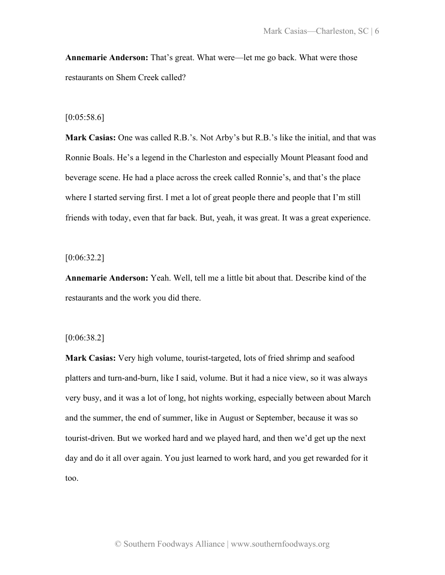**Annemarie Anderson:** That's great. What were—let me go back. What were those restaurants on Shem Creek called?

#### $[0:05:58.6]$

**Mark Casias:** One was called R.B.'s. Not Arby's but R.B.'s like the initial, and that was Ronnie Boals. He's a legend in the Charleston and especially Mount Pleasant food and beverage scene. He had a place across the creek called Ronnie's, and that's the place where I started serving first. I met a lot of great people there and people that I'm still friends with today, even that far back. But, yeah, it was great. It was a great experience.

 $[0:06:32.2]$ 

**Annemarie Anderson:** Yeah. Well, tell me a little bit about that. Describe kind of the restaurants and the work you did there.

### [0:06:38.2]

**Mark Casias:** Very high volume, tourist-targeted, lots of fried shrimp and seafood platters and turn-and-burn, like I said, volume. But it had a nice view, so it was always very busy, and it was a lot of long, hot nights working, especially between about March and the summer, the end of summer, like in August or September, because it was so tourist-driven. But we worked hard and we played hard, and then we'd get up the next day and do it all over again. You just learned to work hard, and you get rewarded for it too.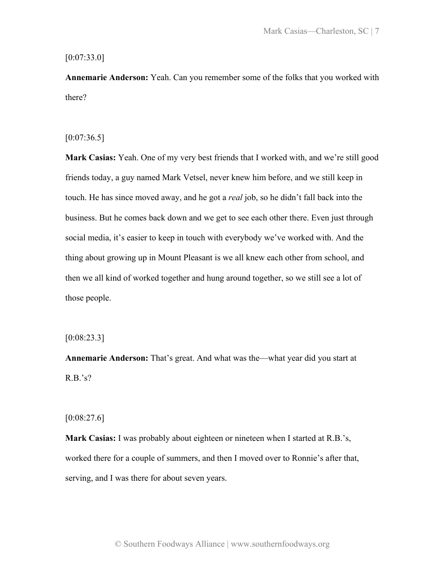## $[0:07:33.0]$

**Annemarie Anderson:** Yeah. Can you remember some of the folks that you worked with there?

# $[0:07:36.5]$

**Mark Casias:** Yeah. One of my very best friends that I worked with, and we're still good friends today, a guy named Mark Vetsel, never knew him before, and we still keep in touch. He has since moved away, and he got a *real* job, so he didn't fall back into the business. But he comes back down and we get to see each other there. Even just through social media, it's easier to keep in touch with everybody we've worked with. And the thing about growing up in Mount Pleasant is we all knew each other from school, and then we all kind of worked together and hung around together, so we still see a lot of those people.

#### [0:08:23.3]

**Annemarie Anderson:** That's great. And what was the—what year did you start at  $R.B.'s?$ 

### $[0:08:27.6]$

**Mark Casias:** I was probably about eighteen or nineteen when I started at R.B.'s, worked there for a couple of summers, and then I moved over to Ronnie's after that, serving, and I was there for about seven years.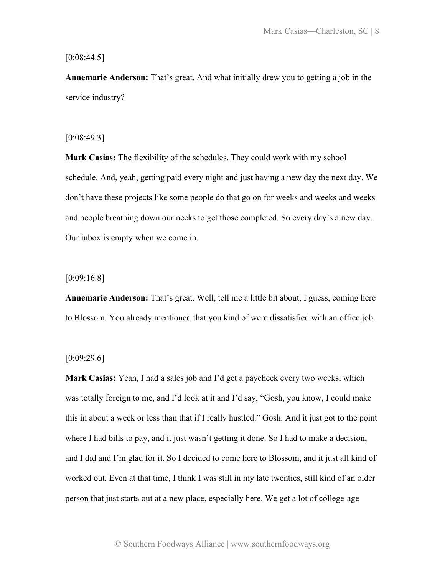$[0:08:44.5]$ 

**Annemarie Anderson:** That's great. And what initially drew you to getting a job in the service industry?

### [0:08:49.3]

**Mark Casias:** The flexibility of the schedules. They could work with my school schedule. And, yeah, getting paid every night and just having a new day the next day. We don't have these projects like some people do that go on for weeks and weeks and weeks and people breathing down our necks to get those completed. So every day's a new day. Our inbox is empty when we come in.

[0:09:16.8]

**Annemarie Anderson:** That's great. Well, tell me a little bit about, I guess, coming here to Blossom. You already mentioned that you kind of were dissatisfied with an office job.

### $[0:09:29.6]$

**Mark Casias:** Yeah, I had a sales job and I'd get a paycheck every two weeks, which was totally foreign to me, and I'd look at it and I'd say, "Gosh, you know, I could make this in about a week or less than that if I really hustled." Gosh. And it just got to the point where I had bills to pay, and it just wasn't getting it done. So I had to make a decision, and I did and I'm glad for it. So I decided to come here to Blossom, and it just all kind of worked out. Even at that time, I think I was still in my late twenties, still kind of an older person that just starts out at a new place, especially here. We get a lot of college-age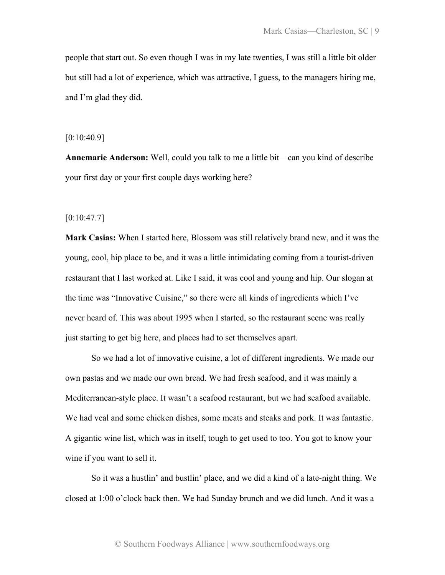people that start out. So even though I was in my late twenties, I was still a little bit older but still had a lot of experience, which was attractive, I guess, to the managers hiring me, and I'm glad they did.

### [0:10:40.9]

**Annemarie Anderson:** Well, could you talk to me a little bit—can you kind of describe your first day or your first couple days working here?

# $[0:10:47.7]$

**Mark Casias:** When I started here, Blossom was still relatively brand new, and it was the young, cool, hip place to be, and it was a little intimidating coming from a tourist-driven restaurant that I last worked at. Like I said, it was cool and young and hip. Our slogan at the time was "Innovative Cuisine," so there were all kinds of ingredients which I've never heard of. This was about 1995 when I started, so the restaurant scene was really just starting to get big here, and places had to set themselves apart.

So we had a lot of innovative cuisine, a lot of different ingredients. We made our own pastas and we made our own bread. We had fresh seafood, and it was mainly a Mediterranean-style place. It wasn't a seafood restaurant, but we had seafood available. We had veal and some chicken dishes, some meats and steaks and pork. It was fantastic. A gigantic wine list, which was in itself, tough to get used to too. You got to know your wine if you want to sell it.

So it was a hustlin' and bustlin' place, and we did a kind of a late-night thing. We closed at 1:00 o'clock back then. We had Sunday brunch and we did lunch. And it was a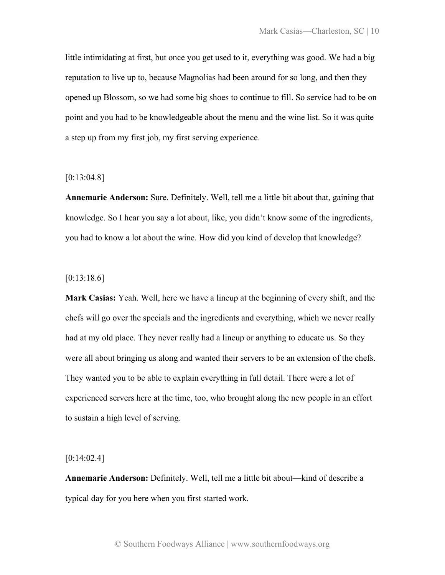little intimidating at first, but once you get used to it, everything was good. We had a big reputation to live up to, because Magnolias had been around for so long, and then they opened up Blossom, so we had some big shoes to continue to fill. So service had to be on point and you had to be knowledgeable about the menu and the wine list. So it was quite a step up from my first job, my first serving experience.

## [0:13:04.8]

**Annemarie Anderson:** Sure. Definitely. Well, tell me a little bit about that, gaining that knowledge. So I hear you say a lot about, like, you didn't know some of the ingredients, you had to know a lot about the wine. How did you kind of develop that knowledge?

# [0:13:18.6]

**Mark Casias:** Yeah. Well, here we have a lineup at the beginning of every shift, and the chefs will go over the specials and the ingredients and everything, which we never really had at my old place. They never really had a lineup or anything to educate us. So they were all about bringing us along and wanted their servers to be an extension of the chefs. They wanted you to be able to explain everything in full detail. There were a lot of experienced servers here at the time, too, who brought along the new people in an effort to sustain a high level of serving.

# $[0:14:02.4]$

**Annemarie Anderson:** Definitely. Well, tell me a little bit about—kind of describe a typical day for you here when you first started work.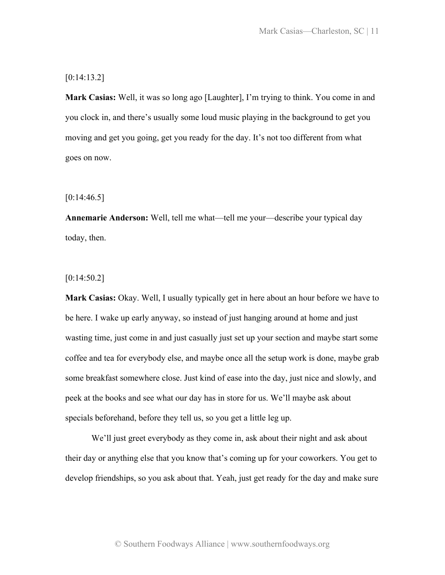## [0:14:13.2]

**Mark Casias:** Well, it was so long ago [Laughter], I'm trying to think. You come in and you clock in, and there's usually some loud music playing in the background to get you moving and get you going, get you ready for the day. It's not too different from what goes on now.

 $[0:14:46.5]$ 

**Annemarie Anderson:** Well, tell me what—tell me your—describe your typical day today, then.

[0:14:50.2]

**Mark Casias:** Okay. Well, I usually typically get in here about an hour before we have to be here. I wake up early anyway, so instead of just hanging around at home and just wasting time, just come in and just casually just set up your section and maybe start some coffee and tea for everybody else, and maybe once all the setup work is done, maybe grab some breakfast somewhere close. Just kind of ease into the day, just nice and slowly, and peek at the books and see what our day has in store for us. We'll maybe ask about specials beforehand, before they tell us, so you get a little leg up.

We'll just greet everybody as they come in, ask about their night and ask about their day or anything else that you know that's coming up for your coworkers. You get to develop friendships, so you ask about that. Yeah, just get ready for the day and make sure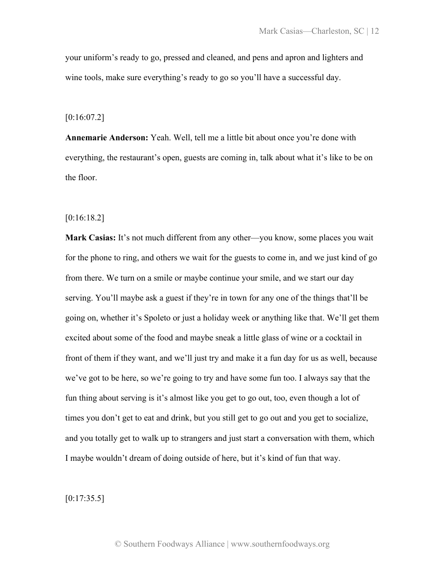your uniform's ready to go, pressed and cleaned, and pens and apron and lighters and wine tools, make sure everything's ready to go so you'll have a successful day.

 $[0:16:07.2]$ 

**Annemarie Anderson:** Yeah. Well, tell me a little bit about once you're done with everything, the restaurant's open, guests are coming in, talk about what it's like to be on the floor.

[0:16:18.2]

**Mark Casias:** It's not much different from any other—you know, some places you wait for the phone to ring, and others we wait for the guests to come in, and we just kind of go from there. We turn on a smile or maybe continue your smile, and we start our day serving. You'll maybe ask a guest if they're in town for any one of the things that'll be going on, whether it's Spoleto or just a holiday week or anything like that. We'll get them excited about some of the food and maybe sneak a little glass of wine or a cocktail in front of them if they want, and we'll just try and make it a fun day for us as well, because we've got to be here, so we're going to try and have some fun too. I always say that the fun thing about serving is it's almost like you get to go out, too, even though a lot of times you don't get to eat and drink, but you still get to go out and you get to socialize, and you totally get to walk up to strangers and just start a conversation with them, which I maybe wouldn't dream of doing outside of here, but it's kind of fun that way.

 $[0:17:35.5]$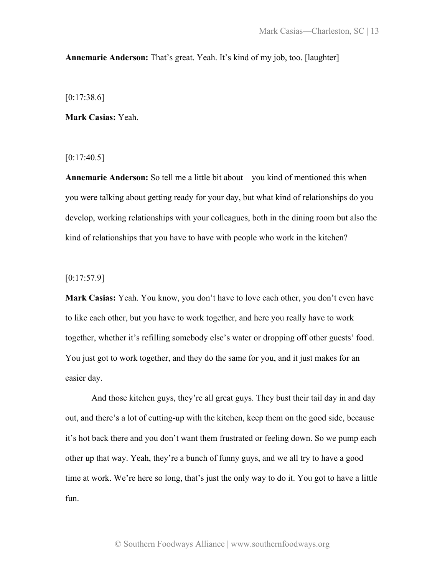# **Annemarie Anderson:** That's great. Yeah. It's kind of my job, too. [laughter]

 $[0:17:38.6]$ 

**Mark Casias:** Yeah.

 $[0:17:40.5]$ 

**Annemarie Anderson:** So tell me a little bit about—you kind of mentioned this when you were talking about getting ready for your day, but what kind of relationships do you develop, working relationships with your colleagues, both in the dining room but also the kind of relationships that you have to have with people who work in the kitchen?

[0:17:57.9]

**Mark Casias:** Yeah. You know, you don't have to love each other, you don't even have to like each other, but you have to work together, and here you really have to work together, whether it's refilling somebody else's water or dropping off other guests' food. You just got to work together, and they do the same for you, and it just makes for an easier day.

And those kitchen guys, they're all great guys. They bust their tail day in and day out, and there's a lot of cutting-up with the kitchen, keep them on the good side, because it's hot back there and you don't want them frustrated or feeling down. So we pump each other up that way. Yeah, they're a bunch of funny guys, and we all try to have a good time at work. We're here so long, that's just the only way to do it. You got to have a little fun.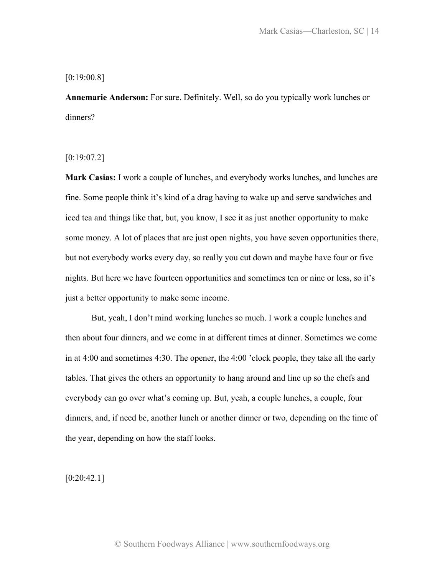# [0:19:00.8]

**Annemarie Anderson:** For sure. Definitely. Well, so do you typically work lunches or dinners?

# $[0:19:07.2]$

**Mark Casias:** I work a couple of lunches, and everybody works lunches, and lunches are fine. Some people think it's kind of a drag having to wake up and serve sandwiches and iced tea and things like that, but, you know, I see it as just another opportunity to make some money. A lot of places that are just open nights, you have seven opportunities there, but not everybody works every day, so really you cut down and maybe have four or five nights. But here we have fourteen opportunities and sometimes ten or nine or less, so it's just a better opportunity to make some income.

But, yeah, I don't mind working lunches so much. I work a couple lunches and then about four dinners, and we come in at different times at dinner. Sometimes we come in at 4:00 and sometimes 4:30. The opener, the 4:00 'clock people, they take all the early tables. That gives the others an opportunity to hang around and line up so the chefs and everybody can go over what's coming up. But, yeah, a couple lunches, a couple, four dinners, and, if need be, another lunch or another dinner or two, depending on the time of the year, depending on how the staff looks.

 $[0:20:42.1]$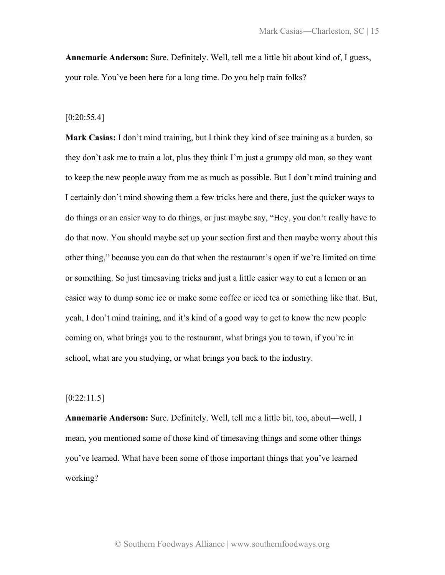**Annemarie Anderson:** Sure. Definitely. Well, tell me a little bit about kind of, I guess, your role. You've been here for a long time. Do you help train folks?

#### [0:20:55.4]

**Mark Casias:** I don't mind training, but I think they kind of see training as a burden, so they don't ask me to train a lot, plus they think I'm just a grumpy old man, so they want to keep the new people away from me as much as possible. But I don't mind training and I certainly don't mind showing them a few tricks here and there, just the quicker ways to do things or an easier way to do things, or just maybe say, "Hey, you don't really have to do that now. You should maybe set up your section first and then maybe worry about this other thing," because you can do that when the restaurant's open if we're limited on time or something. So just timesaving tricks and just a little easier way to cut a lemon or an easier way to dump some ice or make some coffee or iced tea or something like that. But, yeah, I don't mind training, and it's kind of a good way to get to know the new people coming on, what brings you to the restaurant, what brings you to town, if you're in school, what are you studying, or what brings you back to the industry.

# [0:22:11.5]

**Annemarie Anderson:** Sure. Definitely. Well, tell me a little bit, too, about—well, I mean, you mentioned some of those kind of timesaving things and some other things you've learned. What have been some of those important things that you've learned working?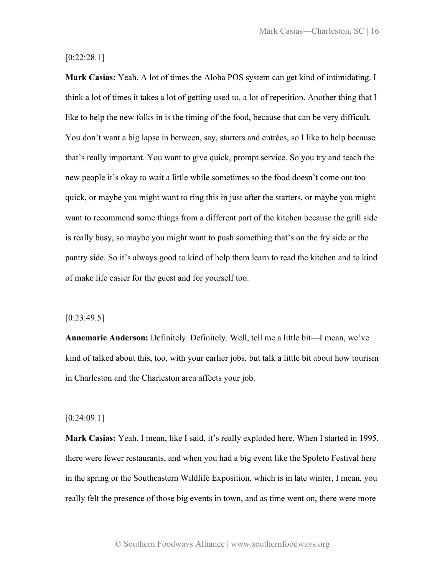# [0:22:28.1]

**Mark Casias:** Yeah. A lot of times the Aloha POS system can get kind of intimidating. I think a lot of times it takes a lot of getting used to, a lot of repetition. Another thing that I like to help the new folks in is the timing of the food, because that can be very difficult. You don't want a big lapse in between, say, starters and entrées, so I like to help because that's really important. You want to give quick, prompt service. So you try and teach the new people it's okay to wait a little while sometimes so the food doesn't come out too quick, or maybe you might want to ring this in just after the starters, or maybe you might want to recommend some things from a different part of the kitchen because the grill side is really busy, so maybe you might want to push something that's on the fry side or the pantry side. So it's always good to kind of help them learn to read the kitchen and to kind of make life easier for the guest and for yourself too.

### [0:23:49.5]

**Annemarie Anderson:** Definitely. Definitely. Well, tell me a little bit—I mean, we've kind of talked about this, too, with your earlier jobs, but talk a little bit about how tourism in Charleston and the Charleston area affects your job.

#### [0:24:09.1]

**Mark Casias:** Yeah. I mean, like I said, it's really exploded here. When I started in 1995, there were fewer restaurants, and when you had a big event like the Spoleto Festival here in the spring or the Southeastern Wildlife Exposition, which is in late winter, I mean, you really felt the presence of those big events in town, and as time went on, there were more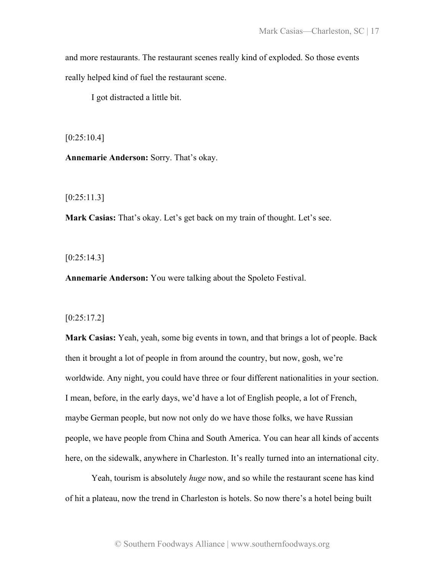and more restaurants. The restaurant scenes really kind of exploded. So those events really helped kind of fuel the restaurant scene.

I got distracted a little bit.

 $[0:25:10.4]$ 

**Annemarie Anderson:** Sorry. That's okay.

[0:25:11.3]

**Mark Casias:** That's okay. Let's get back on my train of thought. Let's see.

 $[0:25:14.3]$ 

**Annemarie Anderson:** You were talking about the Spoleto Festival.

### [0:25:17.2]

**Mark Casias:** Yeah, yeah, some big events in town, and that brings a lot of people. Back then it brought a lot of people in from around the country, but now, gosh, we're worldwide. Any night, you could have three or four different nationalities in your section. I mean, before, in the early days, we'd have a lot of English people, a lot of French, maybe German people, but now not only do we have those folks, we have Russian people, we have people from China and South America. You can hear all kinds of accents here, on the sidewalk, anywhere in Charleston. It's really turned into an international city.

Yeah, tourism is absolutely *huge* now, and so while the restaurant scene has kind of hit a plateau, now the trend in Charleston is hotels. So now there's a hotel being built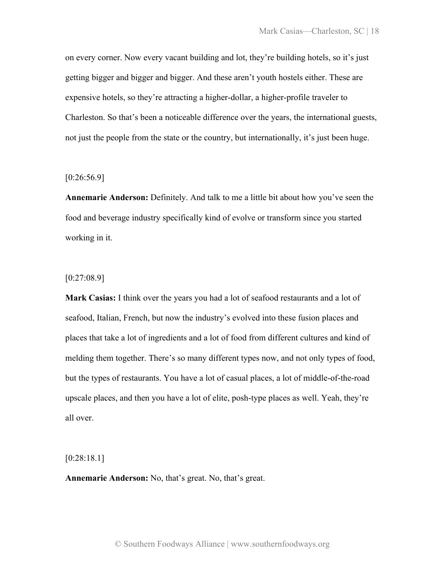on every corner. Now every vacant building and lot, they're building hotels, so it's just getting bigger and bigger and bigger. And these aren't youth hostels either. These are expensive hotels, so they're attracting a higher-dollar, a higher-profile traveler to Charleston. So that's been a noticeable difference over the years, the international guests, not just the people from the state or the country, but internationally, it's just been huge.

### [0:26:56.9]

**Annemarie Anderson:** Definitely. And talk to me a little bit about how you've seen the food and beverage industry specifically kind of evolve or transform since you started working in it.

## [0:27:08.9]

**Mark Casias:** I think over the years you had a lot of seafood restaurants and a lot of seafood, Italian, French, but now the industry's evolved into these fusion places and places that take a lot of ingredients and a lot of food from different cultures and kind of melding them together. There's so many different types now, and not only types of food, but the types of restaurants. You have a lot of casual places, a lot of middle-of-the-road upscale places, and then you have a lot of elite, posh-type places as well. Yeah, they're all over.

[0:28:18.1]

**Annemarie Anderson:** No, that's great. No, that's great.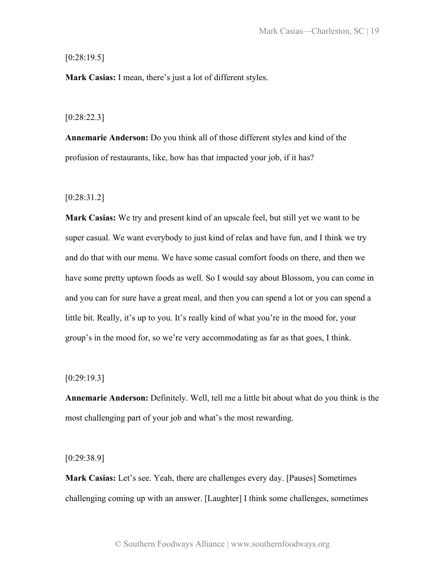# $[0:28:19.5]$

**Mark Casias:** I mean, there's just a lot of different styles.

### [0:28:22.3]

**Annemarie Anderson:** Do you think all of those different styles and kind of the profusion of restaurants, like, how has that impacted your job, if it has?

[0:28:31.2]

**Mark Casias:** We try and present kind of an upscale feel, but still yet we want to be super casual. We want everybody to just kind of relax and have fun, and I think we try and do that with our menu. We have some casual comfort foods on there, and then we have some pretty uptown foods as well. So I would say about Blossom, you can come in and you can for sure have a great meal, and then you can spend a lot or you can spend a little bit. Really, it's up to you. It's really kind of what you're in the mood for, your group's in the mood for, so we're very accommodating as far as that goes, I think.

# [0:29:19.3]

**Annemarie Anderson:** Definitely. Well, tell me a little bit about what do you think is the most challenging part of your job and what's the most rewarding.

[0:29:38.9]

**Mark Casias:** Let's see. Yeah, there are challenges every day. [Pauses] Sometimes challenging coming up with an answer. [Laughter] I think some challenges, sometimes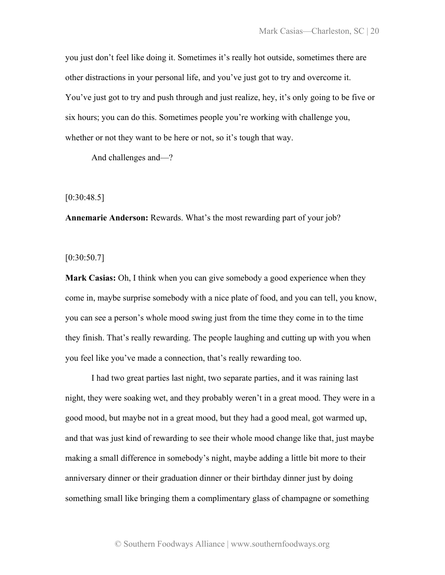you just don't feel like doing it. Sometimes it's really hot outside, sometimes there are other distractions in your personal life, and you've just got to try and overcome it. You've just got to try and push through and just realize, hey, it's only going to be five or six hours; you can do this. Sometimes people you're working with challenge you, whether or not they want to be here or not, so it's tough that way.

And challenges and—?

[0:30:48.5]

**Annemarie Anderson:** Rewards. What's the most rewarding part of your job?

[0:30:50.7]

**Mark Casias:** Oh, I think when you can give somebody a good experience when they come in, maybe surprise somebody with a nice plate of food, and you can tell, you know, you can see a person's whole mood swing just from the time they come in to the time they finish. That's really rewarding. The people laughing and cutting up with you when you feel like you've made a connection, that's really rewarding too.

I had two great parties last night, two separate parties, and it was raining last night, they were soaking wet, and they probably weren't in a great mood. They were in a good mood, but maybe not in a great mood, but they had a good meal, got warmed up, and that was just kind of rewarding to see their whole mood change like that, just maybe making a small difference in somebody's night, maybe adding a little bit more to their anniversary dinner or their graduation dinner or their birthday dinner just by doing something small like bringing them a complimentary glass of champagne or something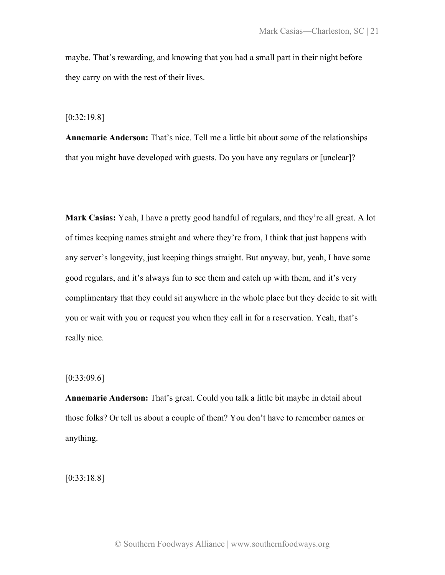maybe. That's rewarding, and knowing that you had a small part in their night before they carry on with the rest of their lives.

[0:32:19.8]

**Annemarie Anderson:** That's nice. Tell me a little bit about some of the relationships that you might have developed with guests. Do you have any regulars or [unclear]?

**Mark Casias:** Yeah, I have a pretty good handful of regulars, and they're all great. A lot of times keeping names straight and where they're from, I think that just happens with any server's longevity, just keeping things straight. But anyway, but, yeah, I have some good regulars, and it's always fun to see them and catch up with them, and it's very complimentary that they could sit anywhere in the whole place but they decide to sit with you or wait with you or request you when they call in for a reservation. Yeah, that's really nice.

[0:33:09.6]

**Annemarie Anderson:** That's great. Could you talk a little bit maybe in detail about those folks? Or tell us about a couple of them? You don't have to remember names or anything.

[0:33:18.8]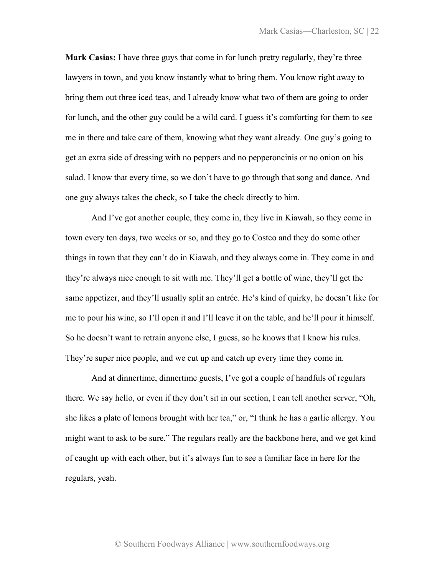**Mark Casias:** I have three guys that come in for lunch pretty regularly, they're three lawyers in town, and you know instantly what to bring them. You know right away to bring them out three iced teas, and I already know what two of them are going to order for lunch, and the other guy could be a wild card. I guess it's comforting for them to see me in there and take care of them, knowing what they want already. One guy's going to get an extra side of dressing with no peppers and no pepperoncinis or no onion on his salad. I know that every time, so we don't have to go through that song and dance. And one guy always takes the check, so I take the check directly to him.

And I've got another couple, they come in, they live in Kiawah, so they come in town every ten days, two weeks or so, and they go to Costco and they do some other things in town that they can't do in Kiawah, and they always come in. They come in and they're always nice enough to sit with me. They'll get a bottle of wine, they'll get the same appetizer, and they'll usually split an entrée. He's kind of quirky, he doesn't like for me to pour his wine, so I'll open it and I'll leave it on the table, and he'll pour it himself. So he doesn't want to retrain anyone else, I guess, so he knows that I know his rules. They're super nice people, and we cut up and catch up every time they come in.

And at dinnertime, dinnertime guests, I've got a couple of handfuls of regulars there. We say hello, or even if they don't sit in our section, I can tell another server, "Oh, she likes a plate of lemons brought with her tea," or, "I think he has a garlic allergy. You might want to ask to be sure." The regulars really are the backbone here, and we get kind of caught up with each other, but it's always fun to see a familiar face in here for the regulars, yeah.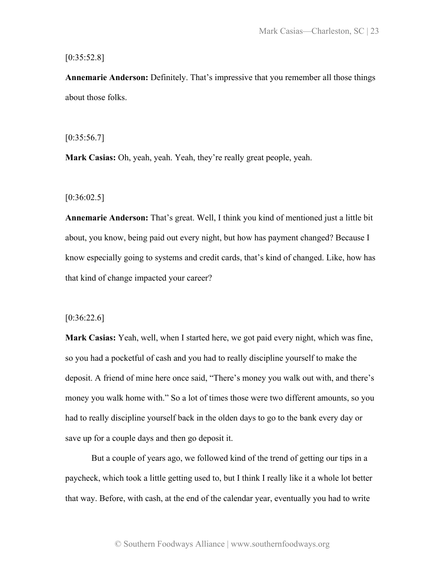# [0:35:52.8]

**Annemarie Anderson:** Definitely. That's impressive that you remember all those things about those folks.

 $[0:35:56.7]$ 

**Mark Casias:** Oh, yeah, yeah. Yeah, they're really great people, yeah.

 $[0:36:02.5]$ 

**Annemarie Anderson:** That's great. Well, I think you kind of mentioned just a little bit about, you know, being paid out every night, but how has payment changed? Because I know especially going to systems and credit cards, that's kind of changed. Like, how has that kind of change impacted your career?

 $[0:36:22.6]$ 

**Mark Casias:** Yeah, well, when I started here, we got paid every night, which was fine, so you had a pocketful of cash and you had to really discipline yourself to make the deposit. A friend of mine here once said, "There's money you walk out with, and there's money you walk home with." So a lot of times those were two different amounts, so you had to really discipline yourself back in the olden days to go to the bank every day or save up for a couple days and then go deposit it.

But a couple of years ago, we followed kind of the trend of getting our tips in a paycheck, which took a little getting used to, but I think I really like it a whole lot better that way. Before, with cash, at the end of the calendar year, eventually you had to write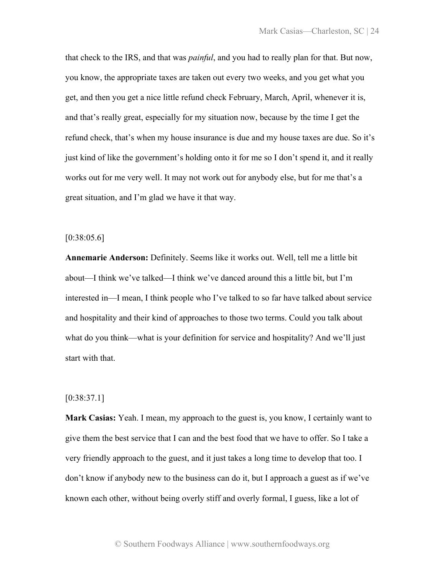that check to the IRS, and that was *painful*, and you had to really plan for that. But now, you know, the appropriate taxes are taken out every two weeks, and you get what you get, and then you get a nice little refund check February, March, April, whenever it is, and that's really great, especially for my situation now, because by the time I get the refund check, that's when my house insurance is due and my house taxes are due. So it's just kind of like the government's holding onto it for me so I don't spend it, and it really works out for me very well. It may not work out for anybody else, but for me that's a great situation, and I'm glad we have it that way.

# $[0:38:05.6]$

**Annemarie Anderson:** Definitely. Seems like it works out. Well, tell me a little bit about—I think we've talked—I think we've danced around this a little bit, but I'm interested in—I mean, I think people who I've talked to so far have talked about service and hospitality and their kind of approaches to those two terms. Could you talk about what do you think—what is your definition for service and hospitality? And we'll just start with that.

# [0:38:37.1]

**Mark Casias:** Yeah. I mean, my approach to the guest is, you know, I certainly want to give them the best service that I can and the best food that we have to offer. So I take a very friendly approach to the guest, and it just takes a long time to develop that too. I don't know if anybody new to the business can do it, but I approach a guest as if we've known each other, without being overly stiff and overly formal, I guess, like a lot of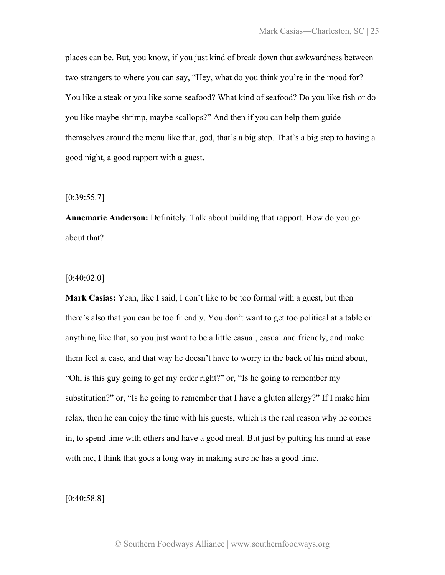places can be. But, you know, if you just kind of break down that awkwardness between two strangers to where you can say, "Hey, what do you think you're in the mood for? You like a steak or you like some seafood? What kind of seafood? Do you like fish or do you like maybe shrimp, maybe scallops?" And then if you can help them guide themselves around the menu like that, god, that's a big step. That's a big step to having a good night, a good rapport with a guest.

 $[0:39:55.7]$ 

**Annemarie Anderson:** Definitely. Talk about building that rapport. How do you go about that?

[0:40:02.0]

**Mark Casias:** Yeah, like I said, I don't like to be too formal with a guest, but then there's also that you can be too friendly. You don't want to get too political at a table or anything like that, so you just want to be a little casual, casual and friendly, and make them feel at ease, and that way he doesn't have to worry in the back of his mind about, "Oh, is this guy going to get my order right?" or, "Is he going to remember my substitution?" or, "Is he going to remember that I have a gluten allergy?" If I make him relax, then he can enjoy the time with his guests, which is the real reason why he comes in, to spend time with others and have a good meal. But just by putting his mind at ease with me, I think that goes a long way in making sure he has a good time.

[0:40:58.8]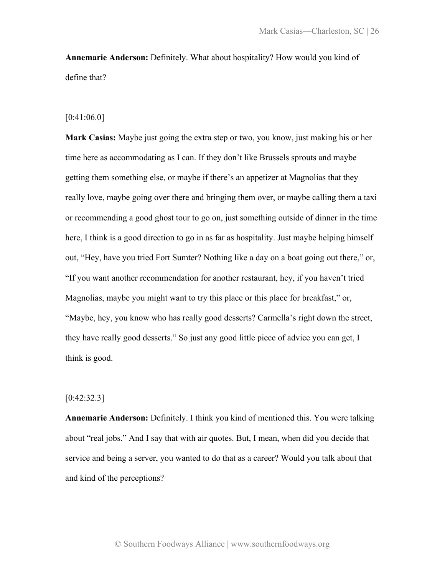**Annemarie Anderson:** Definitely. What about hospitality? How would you kind of define that?

### [0:41:06.0]

**Mark Casias:** Maybe just going the extra step or two, you know, just making his or her time here as accommodating as I can. If they don't like Brussels sprouts and maybe getting them something else, or maybe if there's an appetizer at Magnolias that they really love, maybe going over there and bringing them over, or maybe calling them a taxi or recommending a good ghost tour to go on, just something outside of dinner in the time here, I think is a good direction to go in as far as hospitality. Just maybe helping himself out, "Hey, have you tried Fort Sumter? Nothing like a day on a boat going out there," or, "If you want another recommendation for another restaurant, hey, if you haven't tried Magnolias, maybe you might want to try this place or this place for breakfast," or, "Maybe, hey, you know who has really good desserts? Carmella's right down the street, they have really good desserts." So just any good little piece of advice you can get, I think is good.

# $[0:42:32.3]$

**Annemarie Anderson:** Definitely. I think you kind of mentioned this. You were talking about "real jobs." And I say that with air quotes. But, I mean, when did you decide that service and being a server, you wanted to do that as a career? Would you talk about that and kind of the perceptions?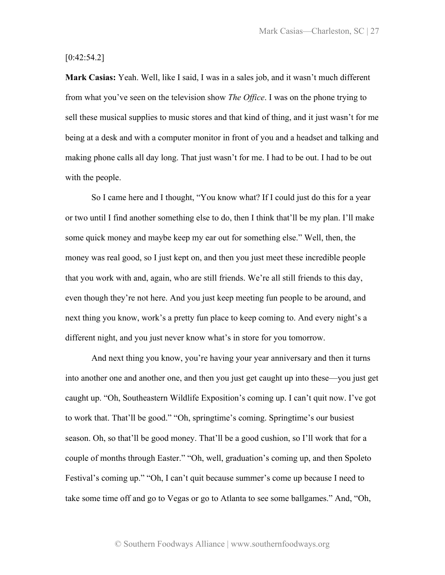$[0:42:54.2]$ 

**Mark Casias:** Yeah. Well, like I said, I was in a sales job, and it wasn't much different from what you've seen on the television show *The Office*. I was on the phone trying to sell these musical supplies to music stores and that kind of thing, and it just wasn't for me being at a desk and with a computer monitor in front of you and a headset and talking and making phone calls all day long. That just wasn't for me. I had to be out. I had to be out with the people.

So I came here and I thought, "You know what? If I could just do this for a year or two until I find another something else to do, then I think that'll be my plan. I'll make some quick money and maybe keep my ear out for something else." Well, then, the money was real good, so I just kept on, and then you just meet these incredible people that you work with and, again, who are still friends. We're all still friends to this day, even though they're not here. And you just keep meeting fun people to be around, and next thing you know, work's a pretty fun place to keep coming to. And every night's a different night, and you just never know what's in store for you tomorrow.

And next thing you know, you're having your year anniversary and then it turns into another one and another one, and then you just get caught up into these—you just get caught up. "Oh, Southeastern Wildlife Exposition's coming up. I can't quit now. I've got to work that. That'll be good." "Oh, springtime's coming. Springtime's our busiest season. Oh, so that'll be good money. That'll be a good cushion, so I'll work that for a couple of months through Easter." "Oh, well, graduation's coming up, and then Spoleto Festival's coming up." "Oh, I can't quit because summer's come up because I need to take some time off and go to Vegas or go to Atlanta to see some ballgames." And, "Oh,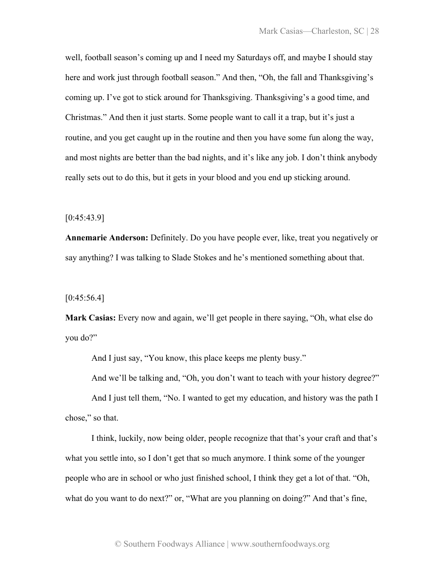well, football season's coming up and I need my Saturdays off, and maybe I should stay here and work just through football season." And then, "Oh, the fall and Thanksgiving's coming up. I've got to stick around for Thanksgiving. Thanksgiving's a good time, and Christmas." And then it just starts. Some people want to call it a trap, but it's just a routine, and you get caught up in the routine and then you have some fun along the way, and most nights are better than the bad nights, and it's like any job. I don't think anybody really sets out to do this, but it gets in your blood and you end up sticking around.

 $[0:45:43.9]$ 

**Annemarie Anderson:** Definitely. Do you have people ever, like, treat you negatively or say anything? I was talking to Slade Stokes and he's mentioned something about that.

 $[0:45:56.4]$ 

**Mark Casias:** Every now and again, we'll get people in there saying, "Oh, what else do you do?"

And I just say, "You know, this place keeps me plenty busy."

And we'll be talking and, "Oh, you don't want to teach with your history degree?"

And I just tell them, "No. I wanted to get my education, and history was the path I chose," so that.

I think, luckily, now being older, people recognize that that's your craft and that's what you settle into, so I don't get that so much anymore. I think some of the younger people who are in school or who just finished school, I think they get a lot of that. "Oh, what do you want to do next?" or, "What are you planning on doing?" And that's fine,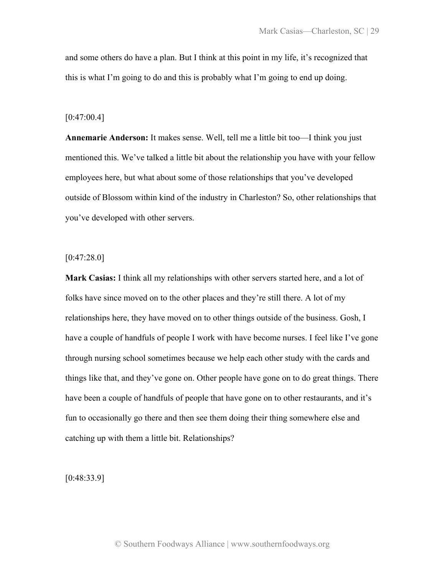and some others do have a plan. But I think at this point in my life, it's recognized that this is what I'm going to do and this is probably what I'm going to end up doing.

#### [0:47:00.4]

**Annemarie Anderson:** It makes sense. Well, tell me a little bit too—I think you just mentioned this. We've talked a little bit about the relationship you have with your fellow employees here, but what about some of those relationships that you've developed outside of Blossom within kind of the industry in Charleston? So, other relationships that you've developed with other servers.

 $[0:47:28.0]$ 

**Mark Casias:** I think all my relationships with other servers started here, and a lot of folks have since moved on to the other places and they're still there. A lot of my relationships here, they have moved on to other things outside of the business. Gosh, I have a couple of handfuls of people I work with have become nurses. I feel like I've gone through nursing school sometimes because we help each other study with the cards and things like that, and they've gone on. Other people have gone on to do great things. There have been a couple of handfuls of people that have gone on to other restaurants, and it's fun to occasionally go there and then see them doing their thing somewhere else and catching up with them a little bit. Relationships?

[0:48:33.9]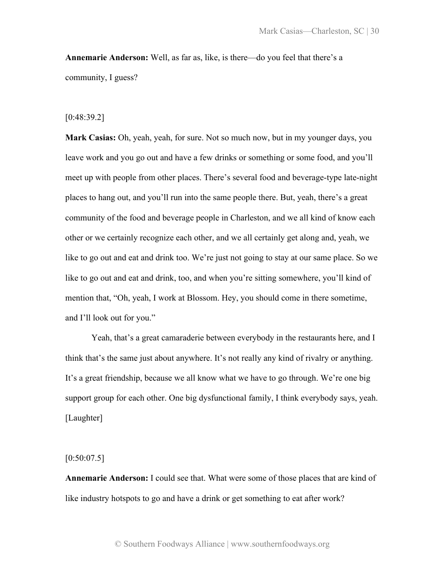**Annemarie Anderson:** Well, as far as, like, is there—do you feel that there's a community, I guess?

#### [0:48:39.2]

**Mark Casias:** Oh, yeah, yeah, for sure. Not so much now, but in my younger days, you leave work and you go out and have a few drinks or something or some food, and you'll meet up with people from other places. There's several food and beverage-type late-night places to hang out, and you'll run into the same people there. But, yeah, there's a great community of the food and beverage people in Charleston, and we all kind of know each other or we certainly recognize each other, and we all certainly get along and, yeah, we like to go out and eat and drink too. We're just not going to stay at our same place. So we like to go out and eat and drink, too, and when you're sitting somewhere, you'll kind of mention that, "Oh, yeah, I work at Blossom. Hey, you should come in there sometime, and I'll look out for you."

Yeah, that's a great camaraderie between everybody in the restaurants here, and I think that's the same just about anywhere. It's not really any kind of rivalry or anything. It's a great friendship, because we all know what we have to go through. We're one big support group for each other. One big dysfunctional family, I think everybody says, yeah. [Laughter]

 $[0:50:07.5]$ 

**Annemarie Anderson:** I could see that. What were some of those places that are kind of like industry hotspots to go and have a drink or get something to eat after work?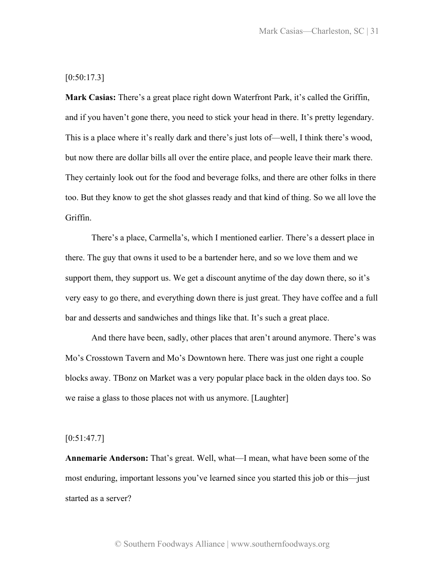# $[0:50:17.3]$

**Mark Casias:** There's a great place right down Waterfront Park, it's called the Griffin, and if you haven't gone there, you need to stick your head in there. It's pretty legendary. This is a place where it's really dark and there's just lots of—well, I think there's wood, but now there are dollar bills all over the entire place, and people leave their mark there. They certainly look out for the food and beverage folks, and there are other folks in there too. But they know to get the shot glasses ready and that kind of thing. So we all love the Griffin.

There's a place, Carmella's, which I mentioned earlier. There's a dessert place in there. The guy that owns it used to be a bartender here, and so we love them and we support them, they support us. We get a discount anytime of the day down there, so it's very easy to go there, and everything down there is just great. They have coffee and a full bar and desserts and sandwiches and things like that. It's such a great place.

And there have been, sadly, other places that aren't around anymore. There's was Mo's Crosstown Tavern and Mo's Downtown here. There was just one right a couple blocks away. TBonz on Market was a very popular place back in the olden days too. So we raise a glass to those places not with us anymore. [Laughter]

## $[0:51:47.7]$

**Annemarie Anderson:** That's great. Well, what—I mean, what have been some of the most enduring, important lessons you've learned since you started this job or this—just started as a server?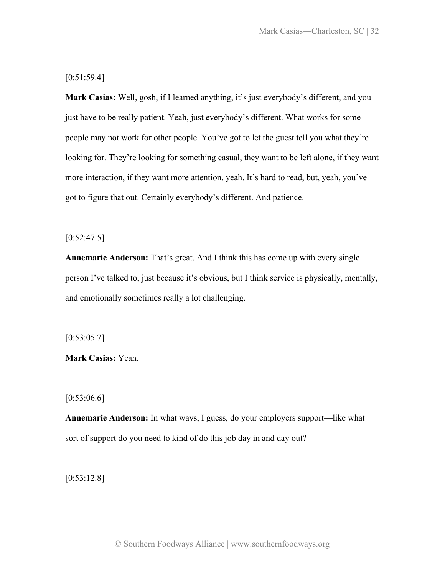[0:51:59.4]

**Mark Casias:** Well, gosh, if I learned anything, it's just everybody's different, and you just have to be really patient. Yeah, just everybody's different. What works for some people may not work for other people. You've got to let the guest tell you what they're looking for. They're looking for something casual, they want to be left alone, if they want more interaction, if they want more attention, yeah. It's hard to read, but, yeah, you've got to figure that out. Certainly everybody's different. And patience.

 $[0:52:47.5]$ 

**Annemarie Anderson:** That's great. And I think this has come up with every single person I've talked to, just because it's obvious, but I think service is physically, mentally, and emotionally sometimes really a lot challenging.

 $[0:53:05.7]$ 

**Mark Casias:** Yeah.

 $[0:53:06.6]$ 

**Annemarie Anderson:** In what ways, I guess, do your employers support—like what sort of support do you need to kind of do this job day in and day out?

[0:53:12.8]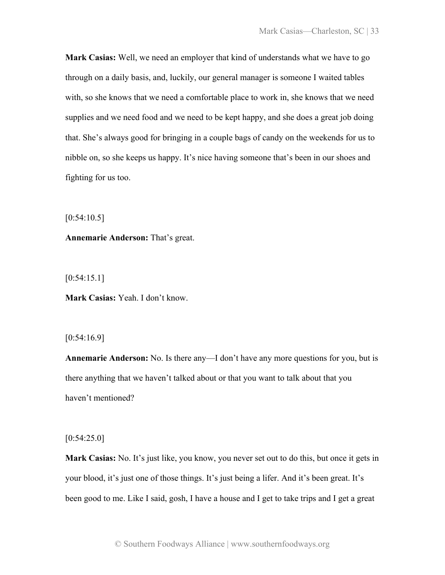**Mark Casias:** Well, we need an employer that kind of understands what we have to go through on a daily basis, and, luckily, our general manager is someone I waited tables with, so she knows that we need a comfortable place to work in, she knows that we need supplies and we need food and we need to be kept happy, and she does a great job doing that. She's always good for bringing in a couple bags of candy on the weekends for us to nibble on, so she keeps us happy. It's nice having someone that's been in our shoes and fighting for us too.

 $[0:54:10.5]$ 

**Annemarie Anderson:** That's great.

[0:54:15.1]

**Mark Casias:** Yeah. I don't know.

[0:54:16.9]

**Annemarie Anderson:** No. Is there any—I don't have any more questions for you, but is there anything that we haven't talked about or that you want to talk about that you haven't mentioned?

 $[0:54:25.0]$ 

**Mark Casias:** No. It's just like, you know, you never set out to do this, but once it gets in your blood, it's just one of those things. It's just being a lifer. And it's been great. It's been good to me. Like I said, gosh, I have a house and I get to take trips and I get a great